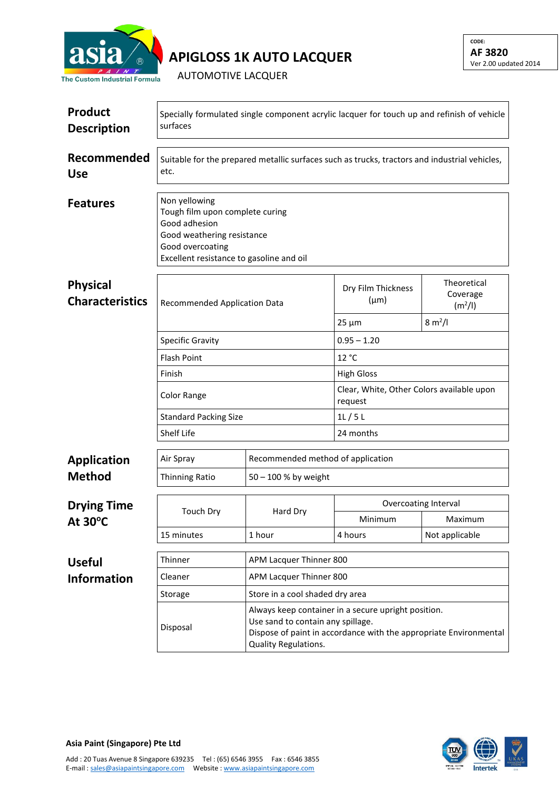

**APIGLOSS 1K AUTO LACQUER**

AUTOMOTIVE LACQUER

| <b>Product</b><br><b>Description</b>      | Specially formulated single component acrylic lacquer for touch up and refinish of vehicle<br>surfaces                                                          |                                                                                                                                                                                       |                                                      |                                                |  |  |
|-------------------------------------------|-----------------------------------------------------------------------------------------------------------------------------------------------------------------|---------------------------------------------------------------------------------------------------------------------------------------------------------------------------------------|------------------------------------------------------|------------------------------------------------|--|--|
| Recommended<br><b>Use</b>                 | Suitable for the prepared metallic surfaces such as trucks, tractors and industrial vehicles,<br>etc.                                                           |                                                                                                                                                                                       |                                                      |                                                |  |  |
| <b>Features</b>                           | Non yellowing<br>Tough film upon complete curing<br>Good adhesion<br>Good weathering resistance<br>Good overcoating<br>Excellent resistance to gasoline and oil |                                                                                                                                                                                       |                                                      |                                                |  |  |
| <b>Physical</b><br><b>Characteristics</b> | Recommended Application Data<br><b>Specific Gravity</b>                                                                                                         |                                                                                                                                                                                       | Dry Film Thickness<br>$(\mu m)$                      | Theoretical<br>Coverage<br>(m <sup>2</sup> /I) |  |  |
|                                           |                                                                                                                                                                 |                                                                                                                                                                                       | $25 \mu m$                                           | $8 \text{ m}^2$ /l                             |  |  |
|                                           |                                                                                                                                                                 |                                                                                                                                                                                       | $0.95 - 1.20$                                        |                                                |  |  |
|                                           | <b>Flash Point</b>                                                                                                                                              |                                                                                                                                                                                       | 12 °C                                                |                                                |  |  |
|                                           | Finish                                                                                                                                                          |                                                                                                                                                                                       | <b>High Gloss</b>                                    |                                                |  |  |
|                                           | Color Range                                                                                                                                                     |                                                                                                                                                                                       | Clear, White, Other Colors available upon<br>request |                                                |  |  |
|                                           | <b>Standard Packing Size</b>                                                                                                                                    |                                                                                                                                                                                       | 1L/5L                                                |                                                |  |  |
|                                           | Shelf Life                                                                                                                                                      |                                                                                                                                                                                       | 24 months                                            |                                                |  |  |
| <b>Application</b>                        | Air Spray                                                                                                                                                       | Recommended method of application                                                                                                                                                     |                                                      |                                                |  |  |
| <b>Method</b>                             | <b>Thinning Ratio</b>                                                                                                                                           | 50 - 100 % by weight                                                                                                                                                                  |                                                      |                                                |  |  |
| <b>Drying Time</b><br>At 30°C             | <b>Touch Dry</b>                                                                                                                                                | Hard Dry                                                                                                                                                                              | <b>Overcoating Interval</b>                          |                                                |  |  |
|                                           |                                                                                                                                                                 |                                                                                                                                                                                       | Minimum                                              | Maximum                                        |  |  |
|                                           | 15 minutes                                                                                                                                                      | 1 hour                                                                                                                                                                                | 4 hours                                              | Not applicable                                 |  |  |
| <b>Useful</b>                             | Thinner                                                                                                                                                         | APM Lacquer Thinner 800                                                                                                                                                               |                                                      |                                                |  |  |
| <b>Information</b>                        | Cleaner                                                                                                                                                         | APM Lacquer Thinner 800                                                                                                                                                               |                                                      |                                                |  |  |
|                                           | Storage                                                                                                                                                         | Store in a cool shaded dry area                                                                                                                                                       |                                                      |                                                |  |  |
|                                           | Disposal                                                                                                                                                        | Always keep container in a secure upright position.<br>Use sand to contain any spillage.<br>Dispose of paint in accordance with the appropriate Environmental<br>Quality Regulations. |                                                      |                                                |  |  |